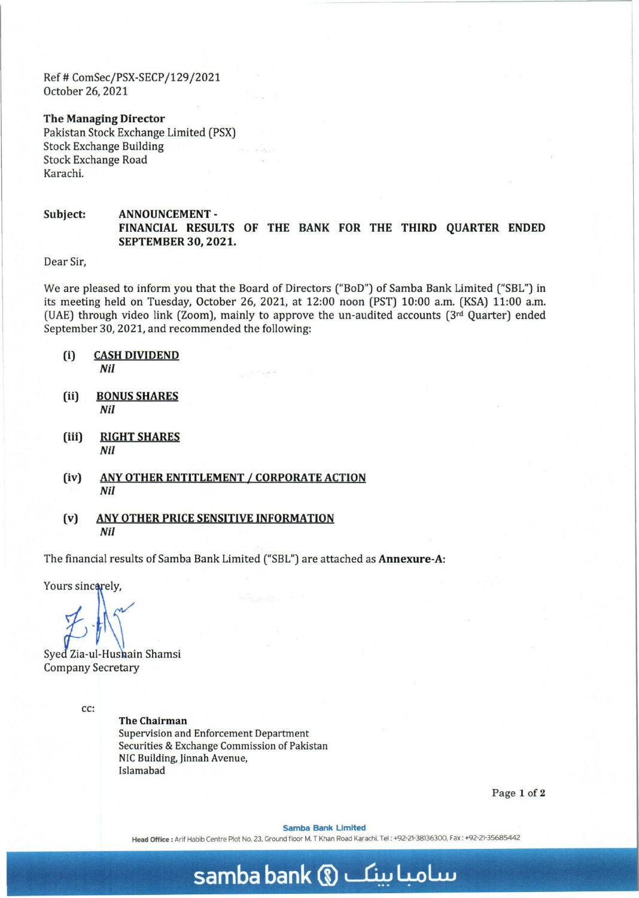Ref # ComSec/PSX-SECP/129/2021 October 26, 2021

The Managing Director Pakistan Stock Exchange Limited (PSX) Stock Exchange Building Stock Exchange Road Karachi.

Subject: ANNOUNCEMENT-FINANCIAL RESULTS OF THE BANK FOR THE THIRD QUARTER ENDED SEPTEMBER 30,2021.

Dear Sir,

We are pleased to inform you that the Board of Directors ("BoD") of Samba Bank Limited ("SBL") in its meeting held on Tuesday, October 26, 2021, at 12:00 noon (PST) 10:00 a.m. (KSA) 11:00 a.m. (UAE) through video link (Zoom), mainly to approve the un-audited accounts ( $3<sup>rd</sup>$  Quarter) ended September 30,2021, and recommended the following:

- (i) CASH DIVIDEND *Nil*
- (ii) BONUS SHARES *Nil*
- (iii) RIGHT SHARES *Nil*
- (iv) ANY OTHER ENTITLEMENT *I* CORPORATE ACTION *Nii*
- (v) ANY OTHER PRICE SENSITIVE INFORMATION *Nil*

The financial results of Samba Bank Limited ("SBL") are attached as Annexure-A:

Yours sincerely,

Syed Zia-ul-Hushain Shamsi Company Secretary

cc:

The Chairman Supervision and Enforcement Department Securities & Exchange Commission of Pakistan NIC Building, Jinnah Avenue, Islamabad

Page 1 of 2

Samba Bank Limited

Head Office: Arif Habib Centre Plot No. 23, Ground floor M. T Khan Road Karachi. Tel: +92-21-38136300, Fax: +92-21-35685442

## **samba bank** m ~ 4-oLw